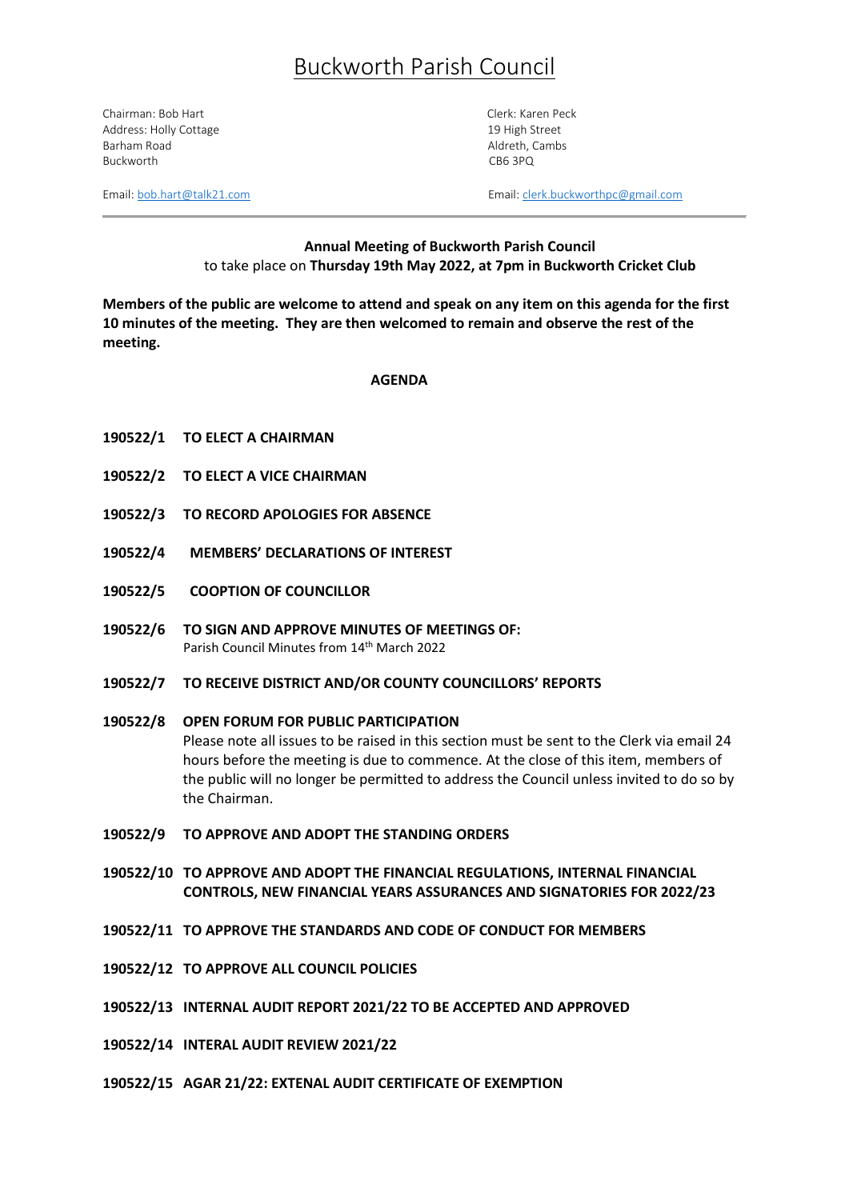# Buckworth Parish Council

Chairman: Bob Hart Chairman: Bob Hart Clerk: Karen Peck Address: Holly Cottage 19 High Street 19 High Street Barham Road **Aldreth, Cambs** Aldreth, Cambs Buckworth CB6 3PQ

Email:  $both art@talk21.com$  Email: [clerk.buckworthpc@gmail.com](mailto:clerk.buckworthpc@gmail.com)</u>

# **Annual Meeting of Buckworth Parish Council**  to take place on **Thursday 19th May 2022, at 7pm in Buckworth Cricket Club**

**Members of the public are welcome to attend and speak on any item on this agenda for the first 10 minutes of the meeting. They are then welcomed to remain and observe the rest of the meeting.**

## **AGENDA**

- **190522/1 TO ELECT A CHAIRMAN**
- **190522/2 TO ELECT A VICE CHAIRMAN**
- **190522/3 TO RECORD APOLOGIES FOR ABSENCE**
- **190522/4 MEMBERS' DECLARATIONS OF INTEREST**
- **190522/5 COOPTION OF COUNCILLOR**
- **190522/6 TO SIGN AND APPROVE MINUTES OF MEETINGS OF:** Parish Council Minutes from 14<sup>th</sup> March 2022
- **190522/7 TO RECEIVE DISTRICT AND/OR COUNTY COUNCILLORS' REPORTS**

# **190522/8 OPEN FORUM FOR PUBLIC PARTICIPATION** Please note all issues to be raised in this section must be sent to the Clerk via email 24 hours before the meeting is due to commence. At the close of this item, members of the public will no longer be permitted to address the Council unless invited to do so by the Chairman.

- **190522/9 TO APPROVE AND ADOPT THE STANDING ORDERS**
- **190522/10 TO APPROVE AND ADOPT THE FINANCIAL REGULATIONS, INTERNAL FINANCIAL CONTROLS, NEW FINANCIAL YEARS ASSURANCES AND SIGNATORIES FOR 2022/23**
- **190522/11 TO APPROVE THE STANDARDS AND CODE OF CONDUCT FOR MEMBERS**
- **190522/12 TO APPROVE ALL COUNCIL POLICIES**
- **190522/13 INTERNAL AUDIT REPORT 2021/22 TO BE ACCEPTED AND APPROVED**
- **190522/14 INTERAL AUDIT REVIEW 2021/22**
- **190522/15 AGAR 21/22: EXTENAL AUDIT CERTIFICATE OF EXEMPTION**